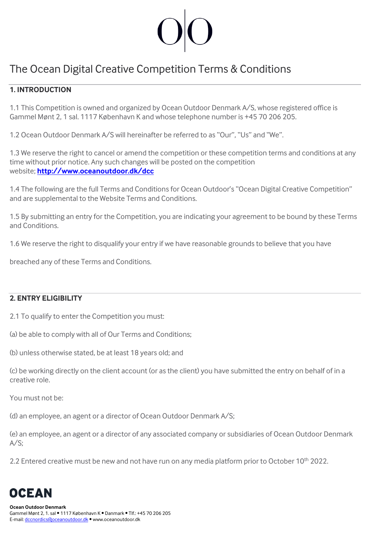## The Ocean Digital Creative Competition Terms & Conditions

### **1. INTRODUCTION**

1.1 This Competition is owned and organized by Ocean Outdoor Denmark A/S, whose registered office is Gammel Mønt 2, 1 sal. 1117 København K and whose telephone number is +45 70 206 205.

1.2 Ocean Outdoor Denmark A/S will hereinafter be referred to as "Our", "Us" and "We".

1.3 We reserve the right to cancel or amend the competition or these competition terms and conditions at any time without prior notice. Any such changes will be posted on the competition website; **http://www.oceanoutdoor.dk/dcc**

1.4 The following are the full Terms and Conditions for Ocean Outdoor's "Ocean Digital Creative Competition" and are supplemental to the Website Terms and Conditions.

1.5 By submitting an entry for the Competition, you are indicating your agreement to be bound by these Terms and Conditions.

1.6 We reserve the right to disqualify your entry if we have reasonable grounds to believe that you have

breached any of these Terms and Conditions.

### **2. ENTRY ELIGIBILITY**

2.1 To qualify to enter the Competition you must:

(a) be able to comply with all of Our Terms and Conditions;

(b) unless otherwise stated, be at least 18 years old; and

(c) be working directly on the client account (or as the client) you have submitted the entry on behalf of in a creative role.

You must not be:

(d) an employee, an agent or a director of Ocean Outdoor Denmark A/S;

(e) an employee, an agent or a director of any associated company or subsidiaries of Ocean Outdoor Denmark  $A/S$ :

2.2 Entered creative must be new and not have run on any media platform prior to October 10<sup>th</sup> 2022.

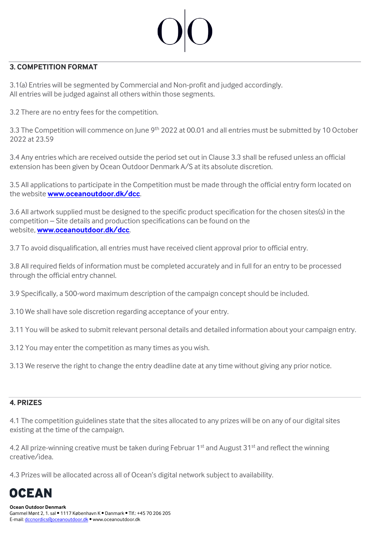### **3. COMPETITION FORMAT**

3.1(a) Entries will be segmented by Commercial and Non-profit and judged accordingly. All entries will be judged against all others within those segments.

3.2 There are no entry fees for the competition.

3.3 The Competition will commence on June 9<sup>th</sup> 2022 at 00.01 and all entries must be submitted by 10 October 2022 at 23.59

3.4 Any entries which are received outside the period set out in Clause 3.3 shall be refused unless an official extension has been given by Ocean Outdoor Denmark A/S at its absolute discretion.

3.5 All applications to participate in the Competition must be made through the official entry form located on the website **www.oceanoutdoor.dk/dcc**.

3.6 All artwork supplied must be designed to the specific product specification for the chosen sites(s) in the competition – Site details and production specifications can be found on the website, **www.oceanoutdoor.dk/dcc**.

3.7 To avoid disqualification, all entries must have received client approval prior to official entry.

3.8 All required fields of information must be completed accurately and in full for an entry to be processed through the official entry channel.

3.9 Specifically, a 500-word maximum description of the campaign concept should be included.

3.10 We shall have sole discretion regarding acceptance of your entry.

3.11 You will be asked to submit relevant personal details and detailed information about your campaign entry.

3.12 You may enter the competition as many times as you wish.

3.13 We reserve the right to change the entry deadline date at any time without giving any prior notice.

#### **4. PRIZES**

4.1 The competition guidelines state that the sites allocated to any prizes will be on any of our digital sites existing at the time of the campaign.

4.2 All prize-winning creative must be taken during Februar 1<sup>st</sup> and August 31<sup>st</sup> and reflect the winning creative/idea.

4.3 Prizes will be allocated across all of Ocean's digital network subject to availability.

OCEAN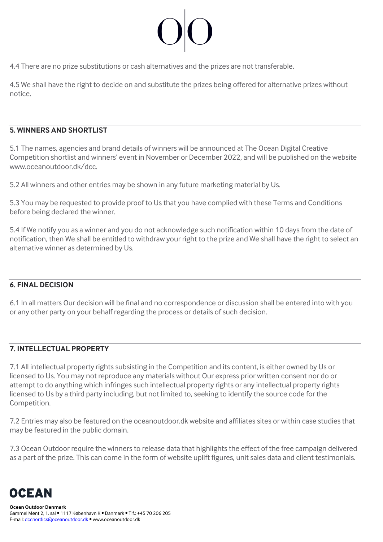4.4 There are no prize substitutions or cash alternatives and the prizes are not transferable.

4.5 We shall have the right to decide on and substitute the prizes being offered for alternative prizes without notice.

#### **5. WINNERS AND SHORTLIST**

5.1 The names, agencies and brand details of winners will be announced at The Ocean Digital Creative Competition shortlist and winners' event in November or December 2022, and will be published on the website www.oceanoutdoor.dk/dcc.

5.2 All winners and other entries may be shown in any future marketing material by Us.

5.3 You may be requested to provide proof to Us that you have complied with these Terms and Conditions before being declared the winner.

5.4 If We notify you as a winner and you do not acknowledge such notification within 10 days from the date of notification, then We shall be entitled to withdraw your right to the prize and We shall have the right to select an alternative winner as determined by Us.

#### **6. FINAL DECISION**

6.1 In all matters Our decision will be final and no correspondence or discussion shall be entered into with you or any other party on your behalf regarding the process or details of such decision.

#### **7. INTELLECTUAL PROPERTY**

7.1 All intellectual property rights subsisting in the Competition and its content, is either owned by Us or licensed to Us. You may not reproduce any materials without Our express prior written consent nor do or attempt to do anything which infringes such intellectual property rights or any intellectual property rights licensed to Us by a third party including, but not limited to, seeking to identify the source code for the Competition.

7.2 Entries may also be featured on the oceanoutdoor.dk website and affiliates sites or within case studies that may be featured in the public domain.

7.3 Ocean Outdoor require the winners to release data that highlights the effect of the free campaign delivered as a part of the prize. This can come in the form of website uplift figures, unit sales data and client testimonials.

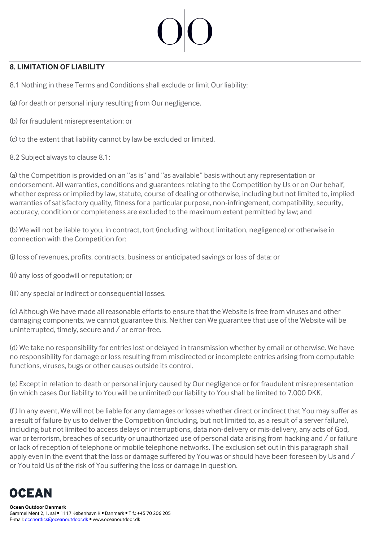### **8. LIMITATION OF LIABILITY**

8.1 Nothing in these Terms and Conditions shall exclude or limit Our liability:

(a) for death or personal injury resulting from Our negligence.

(b) for fraudulent misrepresentation; or

(c) to the extent that liability cannot by law be excluded or limited.

8.2 Subject always to clause 8.1:

(a) the Competition is provided on an "as is" and "as available" basis without any representation or endorsement. All warranties, conditions and guarantees relating to the Competition by Us or on Our behalf, whether express or implied by law, statute, course of dealing or otherwise, including but not limited to, implied warranties of satisfactory quality, fitness for a particular purpose, non-infringement, compatibility, security, accuracy, condition or completeness are excluded to the maximum extent permitted by law; and

(b) We will not be liable to you, in contract, tort (including, without limitation, negligence) or otherwise in connection with the Competition for:

(i) loss of revenues, profits, contracts, business or anticipated savings or loss of data; or

(ii) any loss of goodwill or reputation; or

(iii) any special or indirect or consequential losses.

(c) Although We have made all reasonable efforts to ensure that the Website is free from viruses and other damaging components, we cannot guarantee this. Neither can We guarantee that use of the Website will be uninterrupted, timely, secure and / or error-free.

(d) We take no responsibility for entries lost or delayed in transmission whether by email or otherwise. We have no responsibility for damage or loss resulting from misdirected or incomplete entries arising from computable functions, viruses, bugs or other causes outside its control.

(e) Except in relation to death or personal injury caused by Our negligence or for fraudulent misrepresentation (in which cases Our liability to You will be unlimited) our liability to You shall be limited to 7.000 DKK.

(f ) In any event, We will not be liable for any damages or losses whether direct or indirect that You may suffer as a result of failure by us to deliver the Competition (including, but not limited to, as a result of a server failure), including but not limited to access delays or interruptions, data non-delivery or mis-delivery, any acts of God, war or terrorism, breaches of security or unauthorized use of personal data arising from hacking and / or failure or lack of reception of telephone or mobile telephone networks. The exclusion set out in this paragraph shall apply even in the event that the loss or damage suffered by You was or should have been foreseen by Us and / or You told Us of the risk of You suffering the loss or damage in question.

# OCEAN